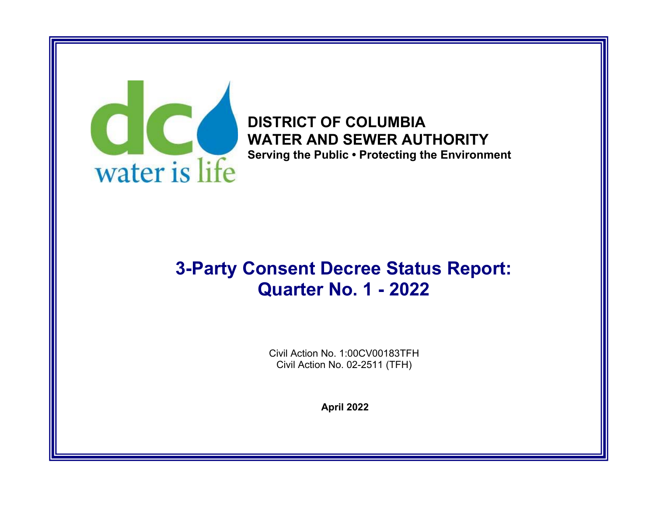

**DISTRICT OF COLUMBIA WATER AND SEWER AUTHORITY Serving the Public • Protecting the Environment** 

# **3-Party Consent Decree Status Report: Quarter No. 1 - 2022**

Civil Action No. 1:00CV00183TFH Civil Action No. 02-2511 (TFH)

**April 2022**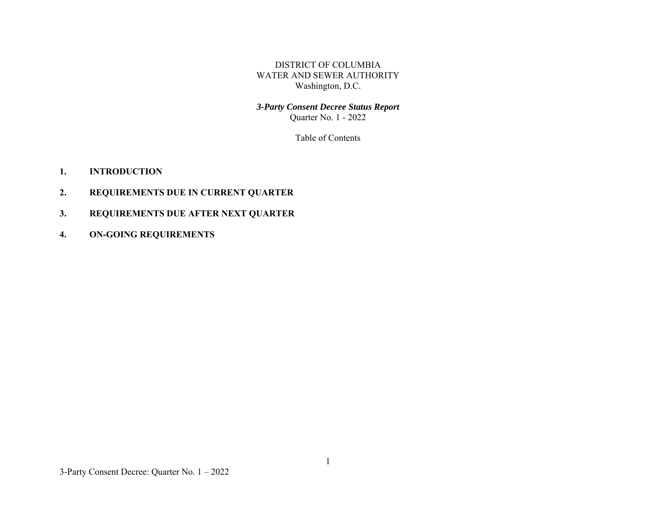DISTRICT OF COLUMBIA WATER AND SEWER AUTHORITY Washington, D.C.

# *3-Party Consent Decree Status Report*  Quarter No. 1 - 2022

Table of Contents

- **1.INTRODUCTION**
- **2.REQUIREMENTS DUE IN CURRENT QUARTER**
- **3.REQUIREMENTS DUE AFTER NEXT QUARTER**
- **4.ON-GOING REQUIREMENTS**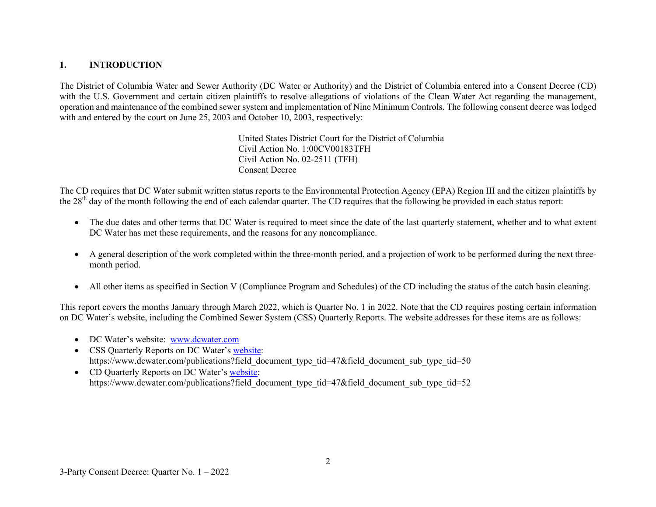#### **1.INTRODUCTION**

The District of Columbia Water and Sewer Authority (DC Water or Authority) and the District of Columbia entered into a Consent Decree (CD) with the U.S. Government and certain citizen plaintiffs to resolve allegations of violations of the Clean Water Act regarding the management, operation and maintenance of the combined sewer system and implementation of Nine Minimum Controls. The following consent decree was lodged with and entered by the court on June 25, 2003 and October 10, 2003, respectively:

> United States District Court for the District of Columbia Civil Action No. 1:00CV00183TFH Civil Action No. 02-2511 (TFH) Consent Decree

The CD requires that DC Water submit written status reports to the Environmental Protection Agency (EPA) Region III and the citizen plaintiffs by the 28<sup>th</sup> day of the month following the end of each calendar quarter. The CD requires that the following be provided in each status report:

- The due dates and other terms that DC Water is required to meet since the date of the last quarterly statement, whether and to what extent DC Water has met these requirements, and the reasons for any noncompliance.
- $\bullet$  A general description of the work completed within the three-month period, and a projection of work to be performed during the next threemonth period.
- $\bullet$ All other items as specified in Section V (Compliance Program and Schedules) of the CD including the status of the catch basin cleaning.

This report covers the months January through March 2022, which is Quarter No. 1 in 2022. Note that the CD requires posting certain information on DC Water's website, including the Combined Sewer System (CSS) Quarterly Reports. The website addresses for these items are as follows:

- DC Water's website: www.dcwater.com
- CSS Quarterly Reports on DC Water's website: https://www.dcwater.com/publications?field\_document\_type\_tid=47&field\_document\_sub\_type\_tid=50
- CD Quarterly Reports on DC Water's website: https://www.dcwater.com/publications?field\_document\_type\_tid=47&field\_document\_sub\_type\_tid=52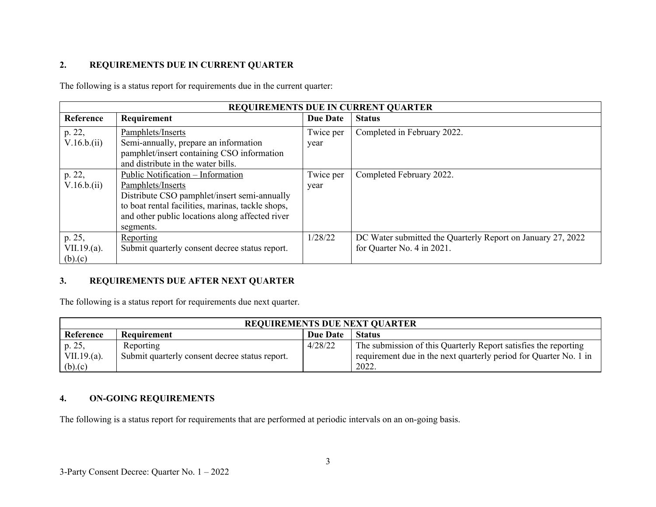### **2.REQUIREMENTS DUE IN CURRENT QUARTER**

The following is a status report for requirements due in the current quarter:

| <b>REQUIREMENTS DUE IN CURRENT QUARTER</b> |                                                   |                 |                                                             |
|--------------------------------------------|---------------------------------------------------|-----------------|-------------------------------------------------------------|
| Reference                                  | Requirement                                       | <b>Due Date</b> | <b>Status</b>                                               |
| p. 22,                                     | Pamphlets/Inserts                                 | Twice per       | Completed in February 2022.                                 |
| V.16.b.(ii)                                | Semi-annually, prepare an information             | year            |                                                             |
|                                            | pamphlet/insert containing CSO information        |                 |                                                             |
|                                            | and distribute in the water bills.                |                 |                                                             |
| p. 22,                                     | Public Notification - Information                 | Twice per       | Completed February 2022.                                    |
| V.16.b.(ii)                                | Pamphlets/Inserts                                 | year            |                                                             |
|                                            | Distribute CSO pamphlet/insert semi-annually      |                 |                                                             |
|                                            | to boat rental facilities, marinas, tackle shops, |                 |                                                             |
|                                            | and other public locations along affected river   |                 |                                                             |
|                                            | segments.                                         |                 |                                                             |
| p. 25,                                     | Reporting                                         | 1/28/22         | DC Water submitted the Quarterly Report on January 27, 2022 |
| $VII.19(a)$ .                              | Submit quarterly consent decree status report.    |                 | for Quarter No. 4 in 2021.                                  |
| (b).(c)                                    |                                                   |                 |                                                             |

#### **3.REQUIREMENTS DUE AFTER NEXT QUARTER**

The following is a status report for requirements due next quarter.

| <b>REQUIREMENTS DUE NEXT QUARTER</b> |                                                |                 |                                                                   |
|--------------------------------------|------------------------------------------------|-----------------|-------------------------------------------------------------------|
| Reference                            | Requirement                                    | <b>Due Date</b> | <b>Status</b>                                                     |
| p. 25,                               | Reporting                                      | 4/28/22         | The submission of this Quarterly Report satisfies the reporting   |
| $VII.19.(a)$ .                       | Submit quarterly consent decree status report. |                 | requirement due in the next quarterly period for Quarter No. 1 in |
| (b).(c)                              |                                                |                 | 2022.                                                             |

## **4.ON-GOING REQUIREMENTS**

The following is a status report for requirements that are performed at periodic intervals on an on-going basis.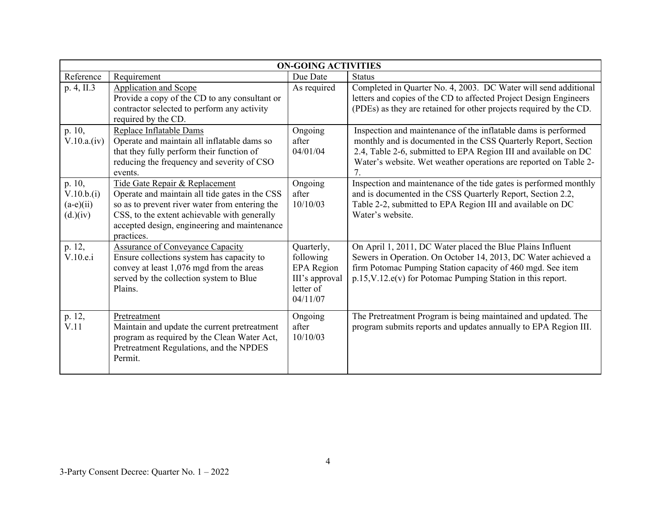| <b>ON-GOING ACTIVITIES</b>                                  |                                                                                                                                                                                                                                                  |                                                                                         |                                                                                                                                                                                                                                                                         |
|-------------------------------------------------------------|--------------------------------------------------------------------------------------------------------------------------------------------------------------------------------------------------------------------------------------------------|-----------------------------------------------------------------------------------------|-------------------------------------------------------------------------------------------------------------------------------------------------------------------------------------------------------------------------------------------------------------------------|
| Reference                                                   | Requirement                                                                                                                                                                                                                                      | Due Date                                                                                | <b>Status</b>                                                                                                                                                                                                                                                           |
| p. 4, II.3                                                  | <b>Application and Scope</b><br>Provide a copy of the CD to any consultant or<br>contractor selected to perform any activity<br>required by the CD.                                                                                              | As required                                                                             | Completed in Quarter No. 4, 2003. DC Water will send additional<br>letters and copies of the CD to affected Project Design Engineers<br>(PDEs) as they are retained for other projects required by the CD.                                                              |
| p. 10,<br>V.10.a.(iv)                                       | Replace Inflatable Dams<br>Operate and maintain all inflatable dams so<br>that they fully perform their function of<br>reducing the frequency and severity of CSO<br>events.                                                                     | Ongoing<br>after<br>04/01/04                                                            | Inspection and maintenance of the inflatable dams is performed<br>monthly and is documented in the CSS Quarterly Report, Section<br>2.4, Table 2-6, submitted to EPA Region III and available on DC<br>Water's website. Wet weather operations are reported on Table 2- |
| p. 10,<br>V.10.b.(i)<br>$(a-e)(ii)$<br>(d.) <sub>(iv)</sub> | Tide Gate Repair & Replacement<br>Operate and maintain all tide gates in the CSS<br>so as to prevent river water from entering the<br>CSS, to the extent achievable with generally<br>accepted design, engineering and maintenance<br>practices. | Ongoing<br>after<br>10/10/03                                                            | Inspection and maintenance of the tide gates is performed monthly<br>and is documented in the CSS Quarterly Report, Section 2.2,<br>Table 2-2, submitted to EPA Region III and available on DC<br>Water's website.                                                      |
| p. 12,<br>V.10.e.i                                          | <b>Assurance of Conveyance Capacity</b><br>Ensure collections system has capacity to<br>convey at least 1,076 mgd from the areas<br>served by the collection system to Blue<br>Plains.                                                           | Quarterly,<br>following<br><b>EPA</b> Region<br>III's approval<br>letter of<br>04/11/07 | On April 1, 2011, DC Water placed the Blue Plains Influent<br>Sewers in Operation. On October 14, 2013, DC Water achieved a<br>firm Potomac Pumping Station capacity of 460 mgd. See item<br>p.15, V.12.e(v) for Potomac Pumping Station in this report.                |
| p. 12,<br>V.11                                              | Pretreatment<br>Maintain and update the current pretreatment<br>program as required by the Clean Water Act,<br>Pretreatment Regulations, and the NPDES<br>Permit.                                                                                | Ongoing<br>after<br>10/10/03                                                            | The Pretreatment Program is being maintained and updated. The<br>program submits reports and updates annually to EPA Region III.                                                                                                                                        |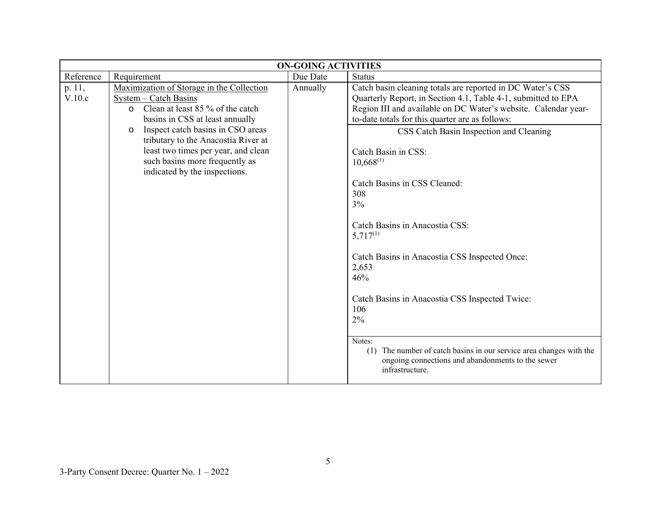| <b>ON-GOING ACTIVITIES</b> |                                                                                                                                                                                                                                                                                                                                              |          |                                                                                                                                                                                                                                                                                                                                                                                                                                      |
|----------------------------|----------------------------------------------------------------------------------------------------------------------------------------------------------------------------------------------------------------------------------------------------------------------------------------------------------------------------------------------|----------|--------------------------------------------------------------------------------------------------------------------------------------------------------------------------------------------------------------------------------------------------------------------------------------------------------------------------------------------------------------------------------------------------------------------------------------|
| Reference                  | Requirement                                                                                                                                                                                                                                                                                                                                  | Due Date | <b>Status</b>                                                                                                                                                                                                                                                                                                                                                                                                                        |
| p. 11,<br>V.10.c           | Maximization of Storage in the Collection<br>System - Catch Basins<br>o Clean at least 85 % of the catch<br>basins in CSS at least annually<br>Inspect catch basins in CSO areas<br>$\circ$<br>tributary to the Anacostia River at<br>least two times per year, and clean<br>such basins more frequently as<br>indicated by the inspections. | Annually | Catch basin cleaning totals are reported in DC Water's CSS<br>Quarterly Report, in Section 4.1, Table 4-1, submitted to EPA<br>Region III and available on DC Water's website. Calendar year-<br>to-date totals for this quarter are as follows:<br>CSS Catch Basin Inspection and Cleaning<br>Catch Basin in CSS:<br>$10,668^{(1)}$<br>Catch Basins in CSS Cleaned:<br>308<br>3%<br>Catch Basins in Anacostia CSS:<br>$5,717^{(1)}$ |
|                            |                                                                                                                                                                                                                                                                                                                                              |          | Catch Basins in Anacostia CSS Inspected Once:<br>2,653<br>46%<br>Catch Basins in Anacostia CSS Inspected Twice:<br>106<br>2%<br>Notes:<br>The number of catch basins in our service area changes with the<br>(1)<br>ongoing connections and abandonments to the sewer<br>infrastructure.                                                                                                                                             |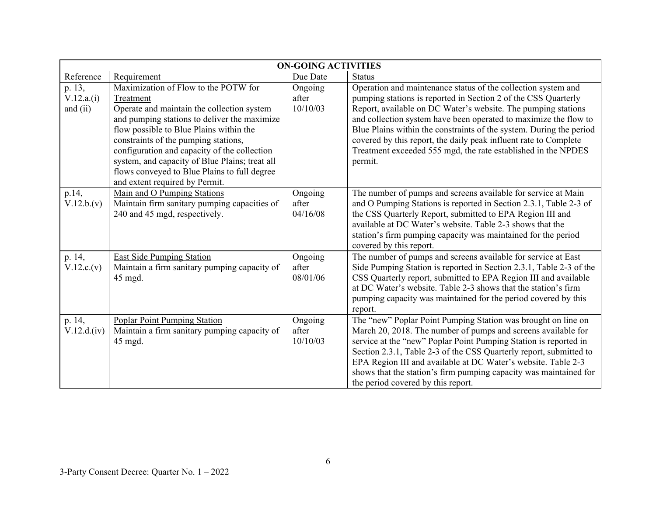|                                    | <b>ON-GOING ACTIVITIES</b>                                                                                                                                                                                                                                                                                                                                                                                             |                              |                                                                                                                                                                                                                                                                                                                                                                                                                                                                                             |  |
|------------------------------------|------------------------------------------------------------------------------------------------------------------------------------------------------------------------------------------------------------------------------------------------------------------------------------------------------------------------------------------------------------------------------------------------------------------------|------------------------------|---------------------------------------------------------------------------------------------------------------------------------------------------------------------------------------------------------------------------------------------------------------------------------------------------------------------------------------------------------------------------------------------------------------------------------------------------------------------------------------------|--|
| Reference                          | Requirement                                                                                                                                                                                                                                                                                                                                                                                                            | Due Date                     | <b>Status</b>                                                                                                                                                                                                                                                                                                                                                                                                                                                                               |  |
| p. 13,<br>V.12.a.(i)<br>and $(ii)$ | Maximization of Flow to the POTW for<br>Treatment<br>Operate and maintain the collection system<br>and pumping stations to deliver the maximize<br>flow possible to Blue Plains within the<br>constraints of the pumping stations,<br>configuration and capacity of the collection<br>system, and capacity of Blue Plains; treat all<br>flows conveyed to Blue Plains to full degree<br>and extent required by Permit. | Ongoing<br>after<br>10/10/03 | Operation and maintenance status of the collection system and<br>pumping stations is reported in Section 2 of the CSS Quarterly<br>Report, available on DC Water's website. The pumping stations<br>and collection system have been operated to maximize the flow to<br>Blue Plains within the constraints of the system. During the period<br>covered by this report, the daily peak influent rate to Complete<br>Treatment exceeded 555 mgd, the rate established in the NPDES<br>permit. |  |
| p.14,<br>V.12.b.(v)                | Main and O Pumping Stations<br>Maintain firm sanitary pumping capacities of<br>240 and 45 mgd, respectively.                                                                                                                                                                                                                                                                                                           | Ongoing<br>after<br>04/16/08 | The number of pumps and screens available for service at Main<br>and O Pumping Stations is reported in Section 2.3.1, Table 2-3 of<br>the CSS Quarterly Report, submitted to EPA Region III and<br>available at DC Water's website. Table 2-3 shows that the<br>station's firm pumping capacity was maintained for the period<br>covered by this report.                                                                                                                                    |  |
| p. 14,<br>V.12.c.(v)               | <b>East Side Pumping Station</b><br>Maintain a firm sanitary pumping capacity of<br>45 mgd.                                                                                                                                                                                                                                                                                                                            | Ongoing<br>after<br>08/01/06 | The number of pumps and screens available for service at East<br>Side Pumping Station is reported in Section 2.3.1, Table 2-3 of the<br>CSS Quarterly report, submitted to EPA Region III and available<br>at DC Water's website. Table 2-3 shows that the station's firm<br>pumping capacity was maintained for the period covered by this<br>report.                                                                                                                                      |  |
| p. 14,<br>V.12.d.(iv)              | Poplar Point Pumping Station<br>Maintain a firm sanitary pumping capacity of<br>45 mgd.                                                                                                                                                                                                                                                                                                                                | Ongoing<br>after<br>10/10/03 | The "new" Poplar Point Pumping Station was brought on line on<br>March 20, 2018. The number of pumps and screens available for<br>service at the "new" Poplar Point Pumping Station is reported in<br>Section 2.3.1, Table 2-3 of the CSS Quarterly report, submitted to<br>EPA Region III and available at DC Water's website. Table 2-3<br>shows that the station's firm pumping capacity was maintained for<br>the period covered by this report.                                        |  |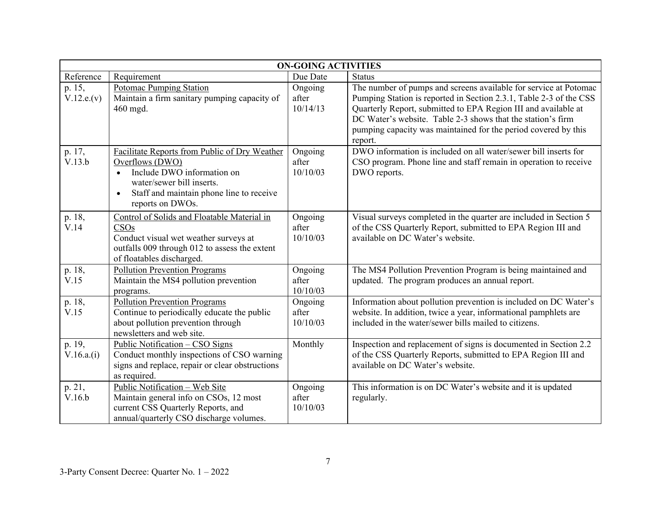| <b>ON-GOING ACTIVITIES</b> |                                                                                                                                                                                                                       |                              |                                                                                                                                                                                                                                                                                                                                                      |
|----------------------------|-----------------------------------------------------------------------------------------------------------------------------------------------------------------------------------------------------------------------|------------------------------|------------------------------------------------------------------------------------------------------------------------------------------------------------------------------------------------------------------------------------------------------------------------------------------------------------------------------------------------------|
| Reference                  | Requirement                                                                                                                                                                                                           | Due Date                     | <b>Status</b>                                                                                                                                                                                                                                                                                                                                        |
| p. 15,<br>V.12.e.(v)       | Potomac Pumping Station<br>Maintain a firm sanitary pumping capacity of<br>460 mgd.                                                                                                                                   | Ongoing<br>after<br>10/14/13 | The number of pumps and screens available for service at Potomac<br>Pumping Station is reported in Section 2.3.1, Table 2-3 of the CSS<br>Quarterly Report, submitted to EPA Region III and available at<br>DC Water's website. Table 2-3 shows that the station's firm<br>pumping capacity was maintained for the period covered by this<br>report. |
| p. 17,<br>V.13.b           | Facilitate Reports from Public of Dry Weather<br>Overflows (DWO)<br>Include DWO information on<br>$\bullet$<br>water/sewer bill inserts.<br>Staff and maintain phone line to receive<br>$\bullet$<br>reports on DWOs. | Ongoing<br>after<br>10/10/03 | DWO information is included on all water/sewer bill inserts for<br>CSO program. Phone line and staff remain in operation to receive<br>DWO reports.                                                                                                                                                                                                  |
| p. 18,<br>V.14             | Control of Solids and Floatable Material in<br>CSOs<br>Conduct visual wet weather surveys at<br>outfalls 009 through 012 to assess the extent<br>of floatables discharged.                                            | Ongoing<br>after<br>10/10/03 | Visual surveys completed in the quarter are included in Section 5<br>of the CSS Quarterly Report, submitted to EPA Region III and<br>available on DC Water's website.                                                                                                                                                                                |
| p. 18,<br>V.15             | <b>Pollution Prevention Programs</b><br>Maintain the MS4 pollution prevention<br>programs.                                                                                                                            | Ongoing<br>after<br>10/10/03 | The MS4 Pollution Prevention Program is being maintained and<br>updated. The program produces an annual report.                                                                                                                                                                                                                                      |
| p. 18,<br>V.15             | <b>Pollution Prevention Programs</b><br>Continue to periodically educate the public<br>about pollution prevention through<br>newsletters and web site.                                                                | Ongoing<br>after<br>10/10/03 | Information about pollution prevention is included on DC Water's<br>website. In addition, twice a year, informational pamphlets are<br>included in the water/sewer bills mailed to citizens.                                                                                                                                                         |
| p. 19,<br>V.16.a.(i)       | Public Notification - CSO Signs<br>Conduct monthly inspections of CSO warning<br>signs and replace, repair or clear obstructions<br>as required.                                                                      | Monthly                      | Inspection and replacement of signs is documented in Section 2.2<br>of the CSS Quarterly Reports, submitted to EPA Region III and<br>available on DC Water's website.                                                                                                                                                                                |
| p. 21,<br>V.16.b           | Public Notification - Web Site<br>Maintain general info on CSOs, 12 most<br>current CSS Quarterly Reports, and<br>annual/quarterly CSO discharge volumes.                                                             | Ongoing<br>after<br>10/10/03 | This information is on DC Water's website and it is updated<br>regularly.                                                                                                                                                                                                                                                                            |